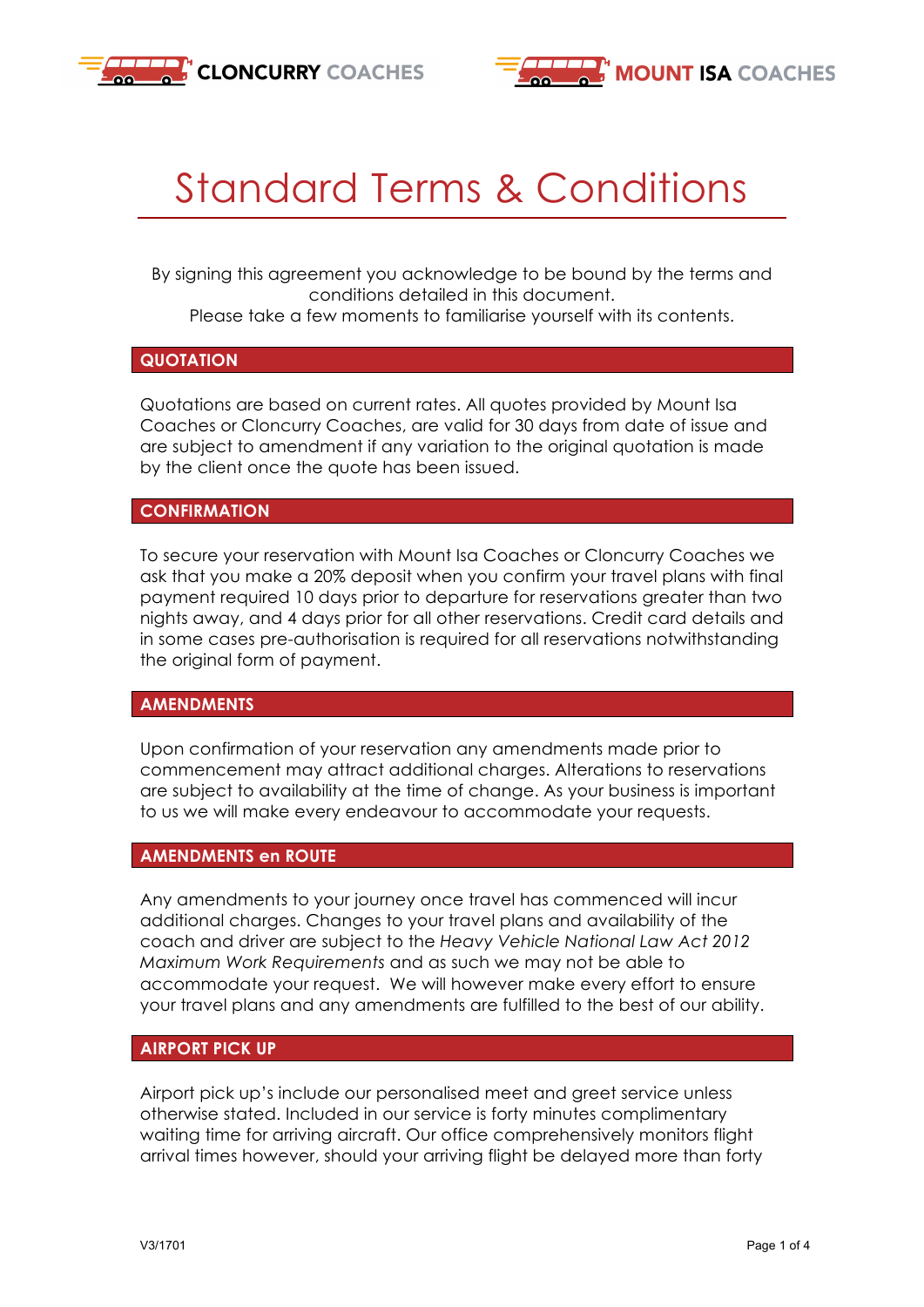



# Standard Terms & Conditions

By signing this agreement you acknowledge to be bound by the terms and conditions detailed in this document. Please take a few moments to familiarise yourself with its contents.

### **QUOTATION**

Quotations are based on current rates. All quotes provided by Mount Isa Coaches or Cloncurry Coaches, are valid for 30 days from date of issue and are subject to amendment if any variation to the original quotation is made by the client once the quote has been issued.

### **CONFIRMATION**

To secure your reservation with Mount Isa Coaches or Cloncurry Coaches we ask that you make a 20% deposit when you confirm your travel plans with final payment required 10 days prior to departure for reservations greater than two nights away, and 4 days prior for all other reservations. Credit card details and in some cases pre-authorisation is required for all reservations notwithstanding the original form of payment.

### **AMENDMENTS**

Upon confirmation of your reservation any amendments made prior to commencement may attract additional charges. Alterations to reservations are subject to availability at the time of change. As your business is important to us we will make every endeavour to accommodate your requests.

### **AMENDMENTS en ROUTE**

Any amendments to your journey once travel has commenced will incur additional charges. Changes to your travel plans and availability of the coach and driver are subject to the *Heavy Vehicle National Law Act 2012 Maximum Work Requirements* and as such we may not be able to accommodate your request. We will however make every effort to ensure your travel plans and any amendments are fulfilled to the best of our ability.

### **AIRPORT PICK UP**

Airport pick up's include our personalised meet and greet service unless otherwise stated. Included in our service is forty minutes complimentary waiting time for arriving aircraft. Our office comprehensively monitors flight arrival times however, should your arriving flight be delayed more than forty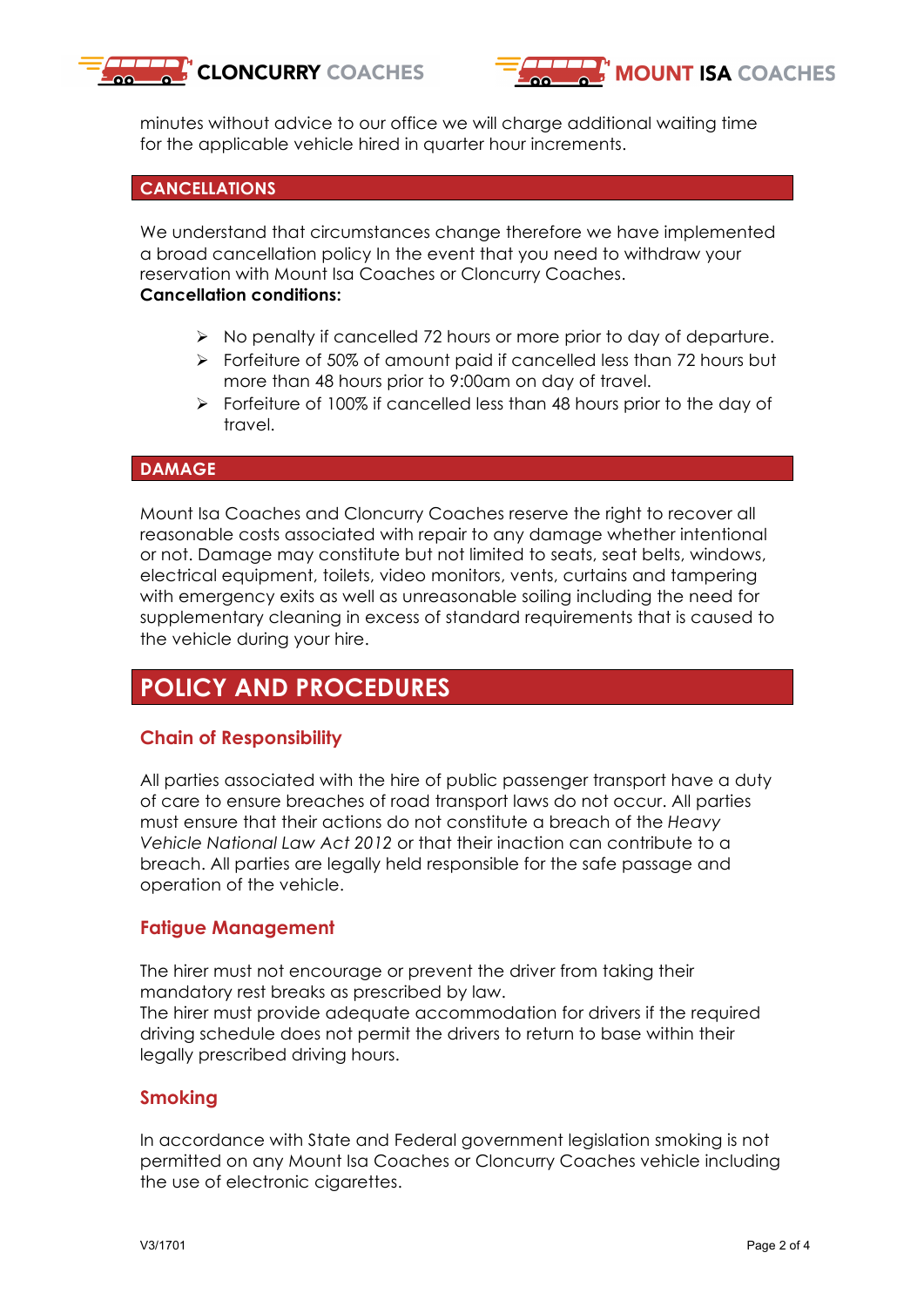



minutes without advice to our office we will charge additional waiting time for the applicable vehicle hired in quarter hour increments.

### **CANCELLATIONS**

We understand that circumstances change therefore we have implemented a broad cancellation policy In the event that you need to withdraw your reservation with Mount Isa Coaches or Cloncurry Coaches.

#### **Cancellation conditions:**

- Ø No penalty if cancelled 72 hours or more prior to day of departure.
- $\triangleright$  Forfeiture of 50% of amount paid if cancelled less than 72 hours but more than 48 hours prior to 9:00am on day of travel.
- Ø Forfeiture of 100% if cancelled less than 48 hours prior to the day of travel.

### **DAMAGE**

Mount Isa Coaches and Cloncurry Coaches reserve the right to recover all reasonable costs associated with repair to any damage whether intentional or not. Damage may constitute but not limited to seats, seat belts, windows, electrical equipment, toilets, video monitors, vents, curtains and tampering with emergency exits as well as unreasonable soiling including the need for supplementary cleaning in excess of standard requirements that is caused to the vehicle during your hire.

### **POLICY AND PROCEDURES**

### **Chain of Responsibility**

All parties associated with the hire of public passenger transport have a duty of care to ensure breaches of road transport laws do not occur. All parties must ensure that their actions do not constitute a breach of the *Heavy Vehicle National Law Act 2012* or that their inaction can contribute to a breach. All parties are legally held responsible for the safe passage and operation of the vehicle.

### **Fatigue Management**

The hirer must not encourage or prevent the driver from taking their mandatory rest breaks as prescribed by law. The hirer must provide adequate accommodation for drivers if the required driving schedule does not permit the drivers to return to base within their

## legally prescribed driving hours.

### **Smoking**

In accordance with State and Federal government legislation smoking is not permitted on any Mount Isa Coaches or Cloncurry Coaches vehicle including the use of electronic cigarettes.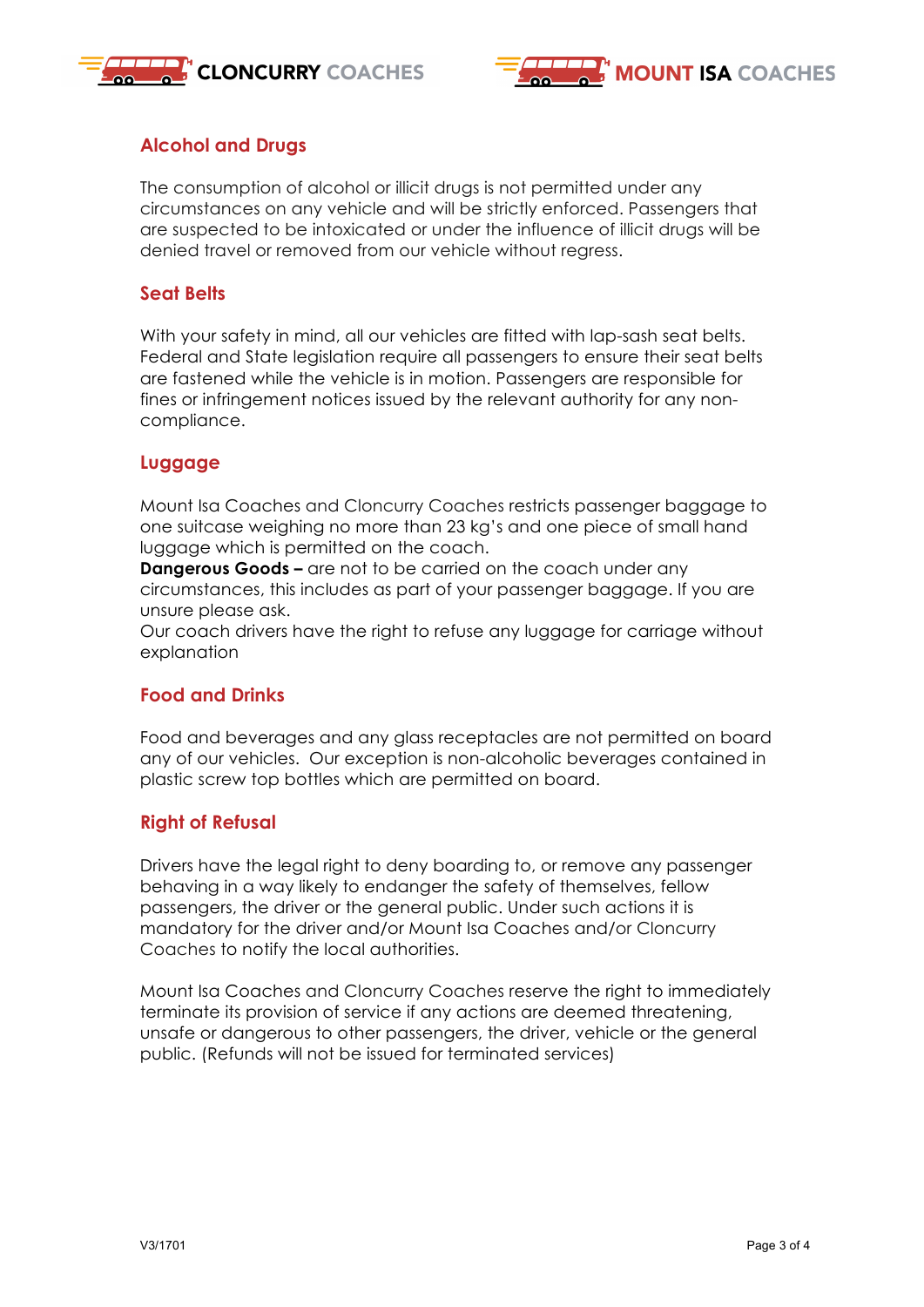



### **Alcohol and Drugs**

The consumption of alcohol or illicit drugs is not permitted under any circumstances on any vehicle and will be strictly enforced. Passengers that are suspected to be intoxicated or under the influence of illicit drugs will be denied travel or removed from our vehicle without regress.

### **Seat Belts**

With your safety in mind, all our vehicles are fitted with lap-sash seat belts. Federal and State legislation require all passengers to ensure their seat belts are fastened while the vehicle is in motion. Passengers are responsible for fines or infringement notices issued by the relevant authority for any noncompliance.

### **Luggage**

Mount Isa Coaches and Cloncurry Coaches restricts passenger baggage to one suitcase weighing no more than 23 kg's and one piece of small hand luggage which is permitted on the coach.

**Dangerous Goods –** are not to be carried on the coach under any circumstances, this includes as part of your passenger baggage. If you are unsure please ask.

Our coach drivers have the right to refuse any luggage for carriage without explanation

### **Food and Drinks**

Food and beverages and any glass receptacles are not permitted on board any of our vehicles. Our exception is non-alcoholic beverages contained in plastic screw top bottles which are permitted on board.

### **Right of Refusal**

Drivers have the legal right to deny boarding to, or remove any passenger behaving in a way likely to endanger the safety of themselves, fellow passengers, the driver or the general public. Under such actions it is mandatory for the driver and/or Mount Isa Coaches and/or Cloncurry Coaches to notify the local authorities.

Mount Isa Coaches and Cloncurry Coaches reserve the right to immediately terminate its provision of service if any actions are deemed threatening, unsafe or dangerous to other passengers, the driver, vehicle or the general public. (Refunds will not be issued for terminated services)